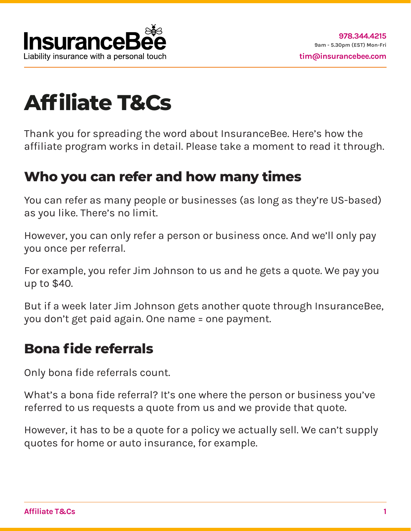

# **Affiliate T&Cs**

Thank you for spreading the word about InsuranceBee. Here's how the affiliate program works in detail. Please take a moment to read it through.

### **Who you can refer and how many times**

You can refer as many people or businesses (as long as they're US-based) as you like. There's no limit.

However, you can only refer a person or business once. And we'll only pay you once per referral.

For example, you refer Jim Johnson to us and he gets a quote. We pay you up to \$40.

But if a week later Jim Johnson gets another quote through InsuranceBee, you don't get paid again. One name = one payment.

#### **Bona fide referrals**

Only bona fide referrals count.

What's a bona fide referral? It's one where the person or business you've referred to us requests a quote from us and we provide that quote.

However, it has to be a quote for a policy we actually sell. We can't supply quotes for home or auto insurance, for example.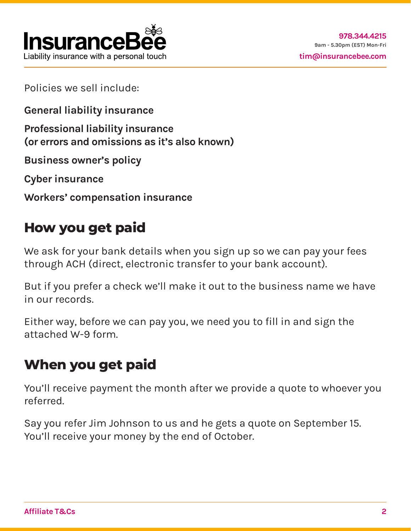

Policies we sell include:

**General liability insurance**

**Professional liability insurance (or errors and omissions as it's also known)**

**Business owner's policy**

**Cyber insurance**

**Workers' compensation insurance**

# **How you get paid**

We ask for your bank details when you sign up so we can pay your fees through ACH (direct, electronic transfer to your bank account).

But if you prefer a check we'll make it out to the business name we have in our records.

Either way, before we can pay you, we need you to fill in and sign the attached W-9 form.

# **When you get paid**

You'll receive payment the month after we provide a quote to whoever you referred.

Say you refer Jim Johnson to us and he gets a quote on September 15. You'll receive your money by the end of October.